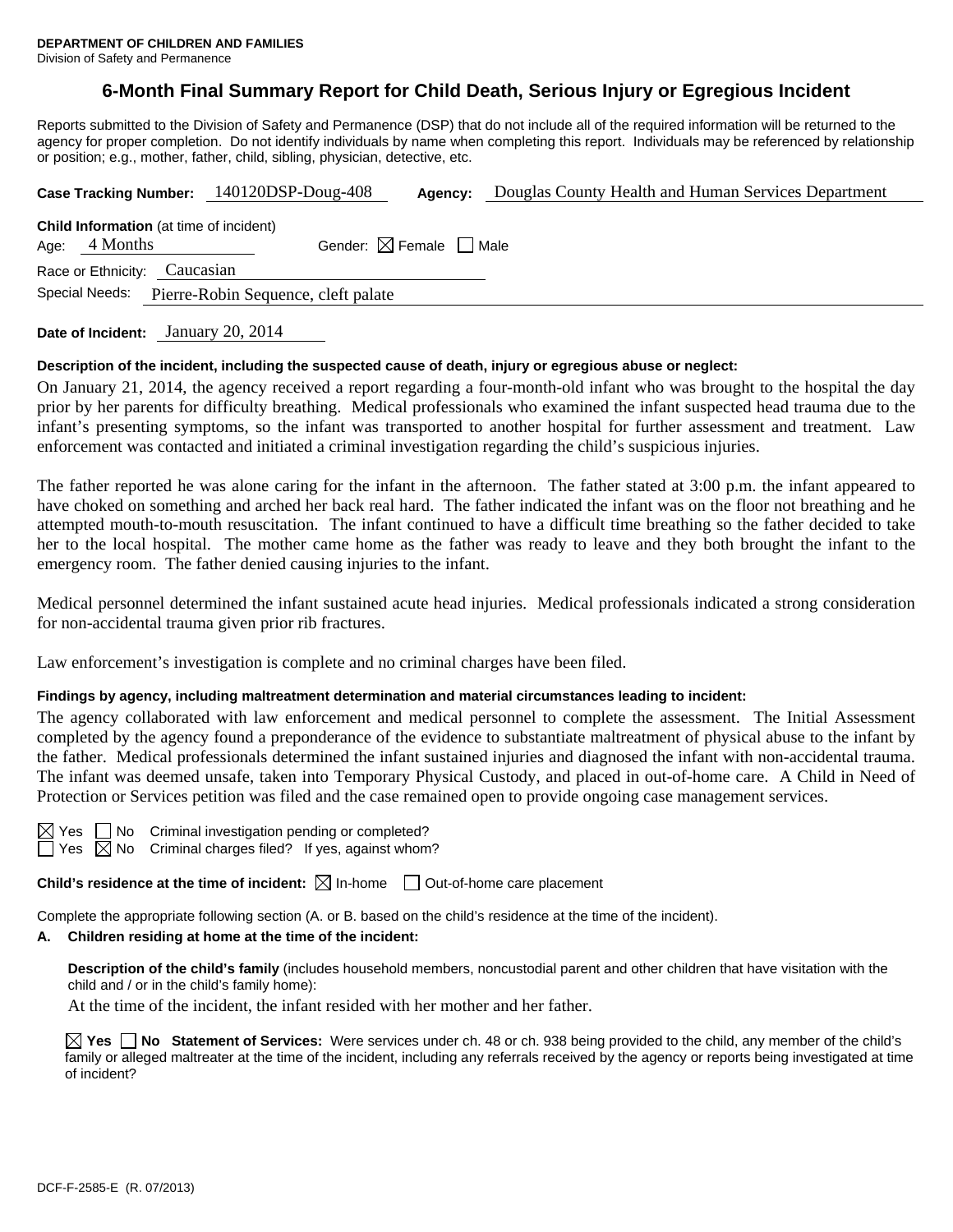# **6-Month Final Summary Report for Child Death, Serious Injury or Egregious Incident**

Reports submitted to the Division of Safety and Permanence (DSP) that do not include all of the required information will be returned to the agency for proper completion. Do not identify individuals by name when completing this report. Individuals may be referenced by relationship or position; e.g., mother, father, child, sibling, physician, detective, etc.

|                                                       | Case Tracking Number: 140120DSP-Doug-408       | Agency:                                | Douglas County Health and Human Services Department |  |  |  |  |
|-------------------------------------------------------|------------------------------------------------|----------------------------------------|-----------------------------------------------------|--|--|--|--|
| Age: $4$ Months                                       | <b>Child Information</b> (at time of incident) | Gender: $\boxtimes$ Female $\Box$ Male |                                                     |  |  |  |  |
| Race or Ethnicity: Caucasian                          |                                                |                                        |                                                     |  |  |  |  |
| Special Needs:<br>Pierre-Robin Sequence, cleft palate |                                                |                                        |                                                     |  |  |  |  |
|                                                       |                                                |                                        |                                                     |  |  |  |  |

**Date of Incident:** January 20, 2014

### **Description of the incident, including the suspected cause of death, injury or egregious abuse or neglect:**

On January 21, 2014, the agency received a report regarding a four-month-old infant who was brought to the hospital the day prior by her parents for difficulty breathing. Medical professionals who examined the infant suspected head trauma due to the infant's presenting symptoms, so the infant was transported to another hospital for further assessment and treatment. Law enforcement was contacted and initiated a criminal investigation regarding the child's suspicious injuries.

The father reported he was alone caring for the infant in the afternoon. The father stated at 3:00 p.m. the infant appeared to have choked on something and arched her back real hard. The father indicated the infant was on the floor not breathing and he attempted mouth-to-mouth resuscitation. The infant continued to have a difficult time breathing so the father decided to take her to the local hospital. The mother came home as the father was ready to leave and they both brought the infant to the emergency room. The father denied causing injuries to the infant.

Medical personnel determined the infant sustained acute head injuries. Medical professionals indicated a strong consideration for non-accidental trauma given prior rib fractures.

Law enforcement's investigation is complete and no criminal charges have been filed.

#### **Findings by agency, including maltreatment determination and material circumstances leading to incident:**

The agency collaborated with law enforcement and medical personnel to complete the assessment. The Initial Assessment completed by the agency found a preponderance of the evidence to substantiate maltreatment of physical abuse to the infant by the father. Medical professionals determined the infant sustained injuries and diagnosed the infant with non-accidental trauma. The infant was deemed unsafe, taken into Temporary Physical Custody, and placed in out-of-home care. A Child in Need of Protection or Services petition was filed and the case remained open to provide ongoing case management services.

| -<br>۰, |  |
|---------|--|
| c<br>٠  |  |

No Criminal investigation pending or completed? No Criminal charges filed? If yes, against whom?

**Child's residence at the time of incident:**  $\boxtimes$  In-home  $\Box$  Out-of-home care placement

Complete the appropriate following section (A. or B. based on the child's residence at the time of the incident).

## **A. Children residing at home at the time of the incident:**

**Description of the child's family** (includes household members, noncustodial parent and other children that have visitation with the child and / or in the child's family home):

At the time of the incident, the infant resided with her mother and her father.

**Yes No Statement of Services:** Were services under ch. 48 or ch. 938 being provided to the child, any member of the child's family or alleged maltreater at the time of the incident, including any referrals received by the agency or reports being investigated at time of incident?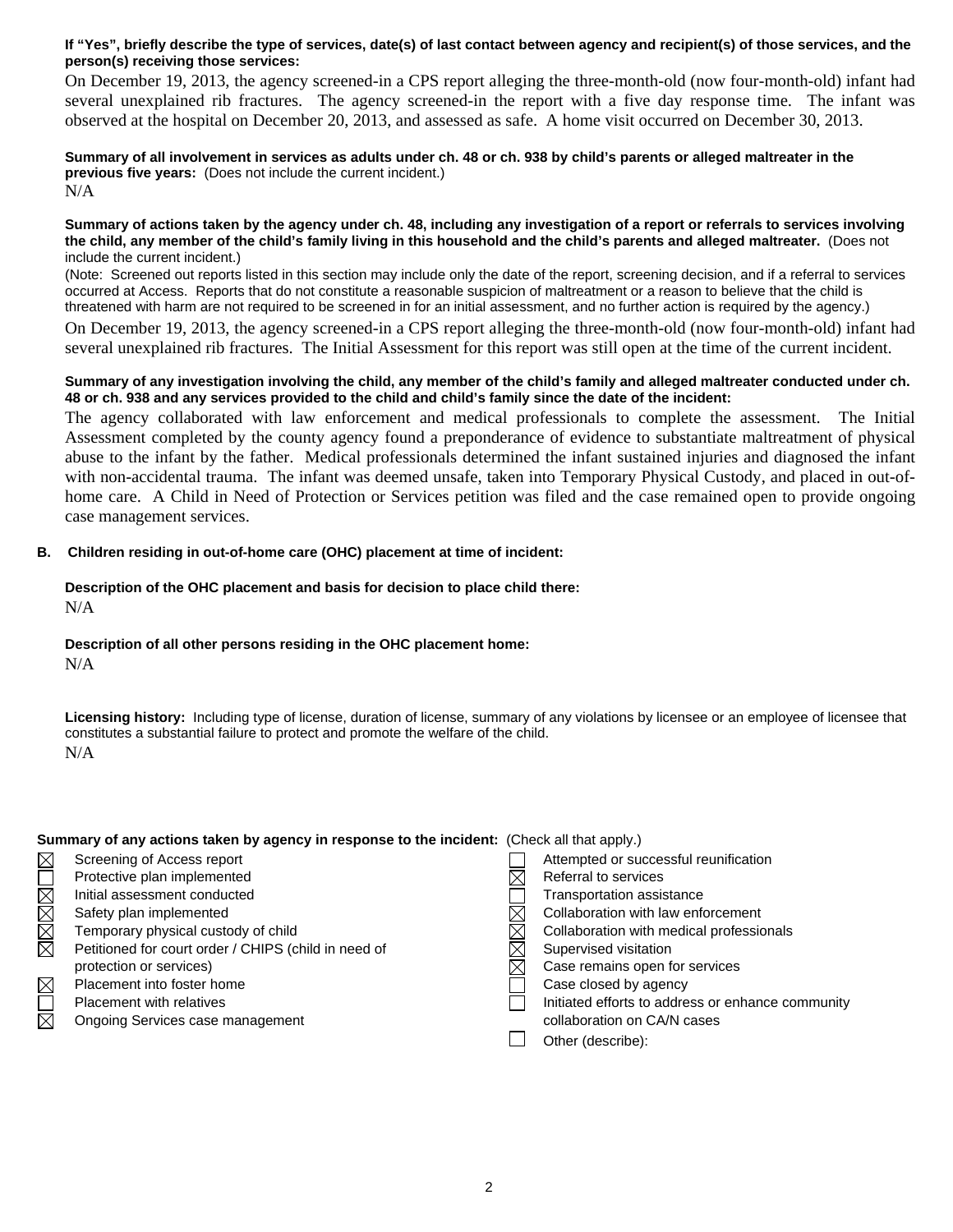## **If "Yes", briefly describe the type of services, date(s) of last contact between agency and recipient(s) of those services, and the person(s) receiving those services:**

On December 19, 2013, the agency screened-in a CPS report alleging the three-month-old (now four-month-old) infant had several unexplained rib fractures. The agency screened-in the report with a five day response time. The infant was observed at the hospital on December 20, 2013, and assessed as safe. A home visit occurred on December 30, 2013.

**Summary of all involvement in services as adults under ch. 48 or ch. 938 by child's parents or alleged maltreater in the previous five years:** (Does not include the current incident.) N/A

**Summary of actions taken by the agency under ch. 48, including any investigation of a report or referrals to services involving the child, any member of the child's family living in this household and the child's parents and alleged maltreater.** (Does not include the current incident.)

(Note: Screened out reports listed in this section may include only the date of the report, screening decision, and if a referral to services occurred at Access. Reports that do not constitute a reasonable suspicion of maltreatment or a reason to believe that the child is threatened with harm are not required to be screened in for an initial assessment, and no further action is required by the agency.)

On December 19, 2013, the agency screened-in a CPS report alleging the three-month-old (now four-month-old) infant had several unexplained rib fractures. The Initial Assessment for this report was still open at the time of the current incident.

## **Summary of any investigation involving the child, any member of the child's family and alleged maltreater conducted under ch. 48 or ch. 938 and any services provided to the child and child's family since the date of the incident:**

The agency collaborated with law enforcement and medical professionals to complete the assessment. The Initial Assessment completed by the county agency found a preponderance of evidence to substantiate maltreatment of physical abuse to the infant by the father. Medical professionals determined the infant sustained injuries and diagnosed the infant with non-accidental trauma. The infant was deemed unsafe, taken into Temporary Physical Custody, and placed in out-ofhome care. A Child in Need of Protection or Services petition was filed and the case remained open to provide ongoing case management services.

## **B. Children residing in out-of-home care (OHC) placement at time of incident:**

## **Description of the OHC placement and basis for decision to place child there:** N/A

## **Description of all other persons residing in the OHC placement home:**

N/A

**Licensing history:** Including type of license, duration of license, summary of any violations by licensee or an employee of licensee that constitutes a substantial failure to protect and promote the welfare of the child. N/A

| Summary of any actions taken by agency in response to the incident: (Check all that apply.) |                                                      |  |                                                   |  |  |
|---------------------------------------------------------------------------------------------|------------------------------------------------------|--|---------------------------------------------------|--|--|
| $\boxtimes$                                                                                 | Screening of Access report                           |  | Attempted or successful reunification             |  |  |
| NNNNI                                                                                       | Protective plan implemented                          |  | Referral to services                              |  |  |
|                                                                                             | Initial assessment conducted                         |  | Transportation assistance                         |  |  |
|                                                                                             | Safety plan implemented                              |  | Collaboration with law enforcement                |  |  |
|                                                                                             | Temporary physical custody of child                  |  | Collaboration with medical professionals          |  |  |
|                                                                                             | Petitioned for court order / CHIPS (child in need of |  | Supervised visitation                             |  |  |
|                                                                                             | protection or services)                              |  | Case remains open for services                    |  |  |
| $\boxtimes$                                                                                 | Placement into foster home                           |  | Case closed by agency                             |  |  |
| $\overline{\Xi}$                                                                            | Placement with relatives                             |  | Initiated efforts to address or enhance community |  |  |
|                                                                                             | Ongoing Services case management                     |  | collaboration on CA/N cases                       |  |  |
|                                                                                             |                                                      |  | Other (describe):                                 |  |  |
|                                                                                             |                                                      |  |                                                   |  |  |